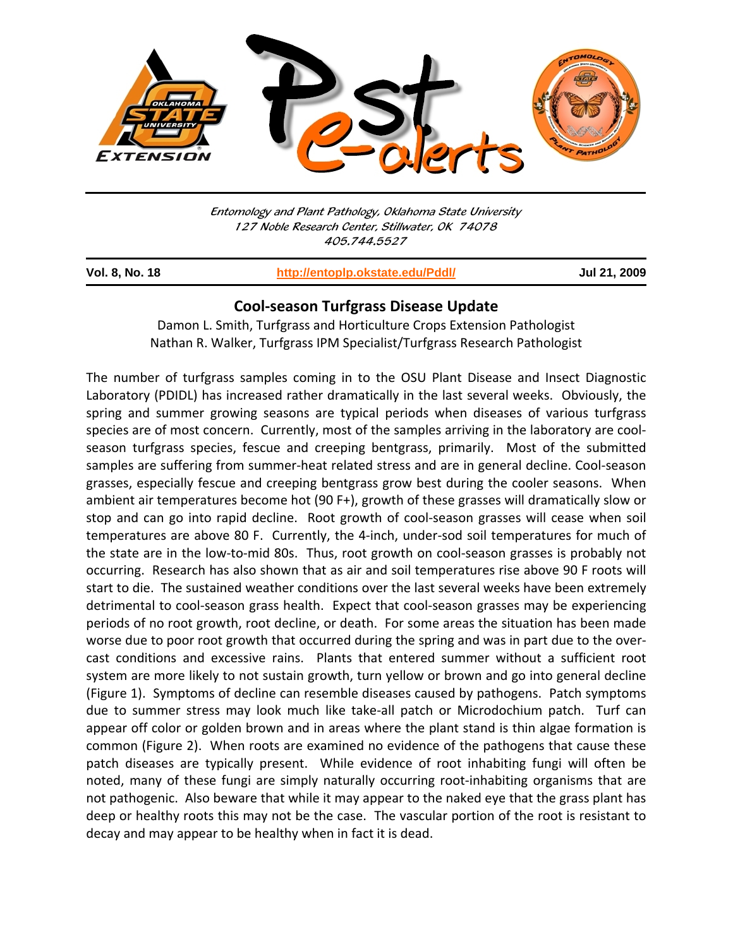

Entomology and Plant Pathology, Oklahoma State University 127 Noble Research Center, Stillwater, OK 74078 405.744.5527

j

**Vol. 8, No. 18 http://entoplp.okstate.edu/Pddl/ Jul 21, 2009**

## **Cool‐season Turfgrass Disease Update**

Damon L. Smith, Turfgrass and Horticulture Crops Extension Pathologist Nathan R. Walker, Turfgrass IPM Specialist/Turfgrass Research Pathologist

The number of turfgrass samples coming in to the OSU Plant Disease and Insect Diagnostic Laboratory (PDIDL) has increased rather dramatically in the last several weeks. Obviously, the spring and summer growing seasons are typical periods when diseases of various turfgrass species are of most concern. Currently, most of the samples arriving in the laboratory are coolseason turfgrass species, fescue and creeping bentgrass, primarily. Most of the submitted samples are suffering from summer-heat related stress and are in general decline. Cool-season grasses, especially fescue and creeping bentgrass grow best during the cooler seasons. When ambient air temperatures become hot (90 F+), growth of these grasses will dramatically slow or stop and can go into rapid decline. Root growth of cool‐season grasses will cease when soil temperatures are above 80 F. Currently, the 4‐inch, under‐sod soil temperatures for much of the state are in the low-to-mid 80s. Thus, root growth on cool-season grasses is probably not occurring. Research has also shown that as air and soil temperatures rise above 90 F roots will start to die. The sustained weather conditions over the last several weeks have been extremely detrimental to cool-season grass health. Expect that cool-season grasses may be experiencing periods of no root growth, root decline, or death. For some areas the situation has been made worse due to poor root growth that occurred during the spring and was in part due to the over‐ cast conditions and excessive rains. Plants that entered summer without a sufficient root system are more likely to not sustain growth, turn yellow or brown and go into general decline (Figure 1). Symptoms of decline can resemble diseases caused by pathogens. Patch symptoms due to summer stress may look much like take-all patch or Microdochium patch. Turf can appear off color or golden brown and in areas where the plant stand is thin algae formation is common (Figure 2). When roots are examined no evidence of the pathogens that cause these patch diseases are typically present. While evidence of root inhabiting fungi will often be noted, many of these fungi are simply naturally occurring root-inhabiting organisms that are not pathogenic. Also beware that while it may appear to the naked eye that the grass plant has deep or healthy roots this may not be the case. The vascular portion of the root is resistant to decay and may appear to be healthy when in fact it is dead.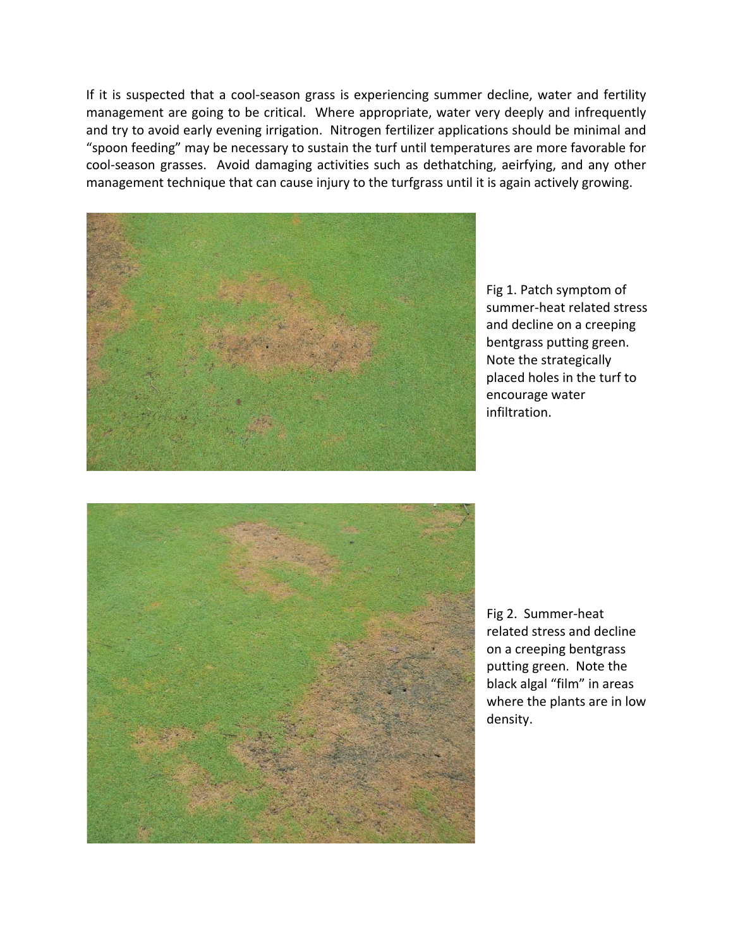If it is suspected that a cool‐season grass is experiencing summer decline, water and fertility management are going to be critical. Where appropriate, water very deeply and infrequently and try to avoid early evening irrigation. Nitrogen fertilizer applications should be minimal and "spoon feeding" may be necessary to sustain the turf until temperatures are more favorable for cool-season grasses. Avoid damaging activities such as dethatching, aeirfying, and any other management technique that can cause injury to the turfgrass until it is again actively growing.



Fig 1. Patch symptom of summer‐heat related stress and decline on a creeping bentgrass putting green. Note the strategically placed holes in the turf to encourage water infiltration.



Fig 2. Summer‐heat related stress and decline on a creeping bentgrass putting green. Note the black algal "film" in areas where the plants are in low density.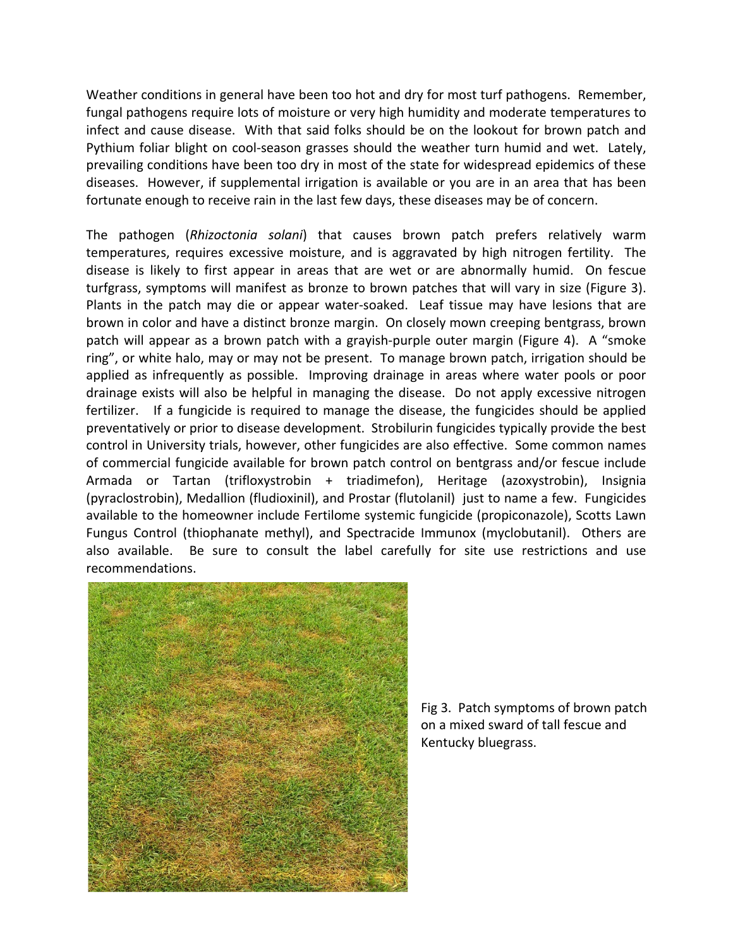Weather conditions in general have been too hot and dry for most turf pathogens. Remember, fungal pathogens require lots of moisture or very high humidity and moderate temperatures to infect and cause disease. With that said folks should be on the lookout for brown patch and Pythium foliar blight on cool‐season grasses should the weather turn humid and wet. Lately, prevailing conditions have been too dry in most of the state for widespread epidemics of these diseases. However, if supplemental irrigation is available or you are in an area that has been fortunate enough to receive rain in the last few days, these diseases may be of concern.

The pathogen (*Rhizoctonia solani*) that causes brown patch prefers relatively warm temperatures, requires excessive moisture, and is aggravated by high nitrogen fertility. The disease is likely to first appear in areas that are wet or are abnormally humid. On fescue turfgrass, symptoms will manifest as bronze to brown patches that will vary in size (Figure 3). Plants in the patch may die or appear water‐soaked. Leaf tissue may have lesions that are brown in color and have a distinct bronze margin. On closely mown creeping bentgrass, brown patch will appear as a brown patch with a grayish‐purple outer margin (Figure 4). A "smoke ring", or white halo, may or may not be present. To manage brown patch, irrigation should be applied as infrequently as possible. Improving drainage in areas where water pools or poor drainage exists will also be helpful in managing the disease. Do not apply excessive nitrogen fertilizer. If a fungicide is required to manage the disease, the fungicides should be applied preventatively or prior to disease development. Strobilurin fungicides typically provide the best control in University trials, however, other fungicides are also effective. Some common names of commercial fungicide available for brown patch control on bentgrass and/or fescue include Armada or Tartan (trifloxystrobin + triadimefon), Heritage (azoxystrobin), Insignia (pyraclostrobin), Medallion (fludioxinil), and Prostar (flutolanil) just to name a few. Fungicides available to the homeowner include Fertilome systemic fungicide (propiconazole), Scotts Lawn Fungus Control (thiophanate methyl), and Spectracide Immunox (myclobutanil). Others are also available. Be sure to consult the label carefully for site use restrictions and use recommendations.



Fig 3. Patch symptoms of brown patch on a mixed sward of tall fescue and Kentucky bluegrass.